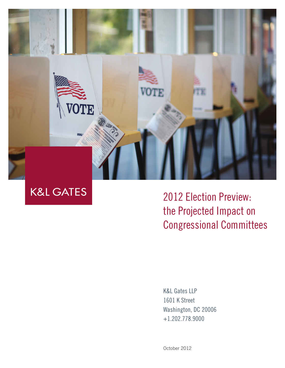

**K&L GATES** 

2012 Election Preview: the Projected Impact on Congressional Committees

K&L Gates LLP 1601 K Street Washington, DC 20006 +1.202.778.9000

October 2012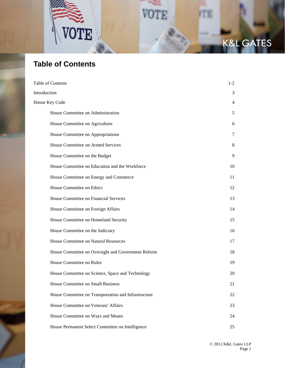

# **Table of Contents**

| Table of Contents                                    | $1 - 2$ |
|------------------------------------------------------|---------|
| Introduction                                         | 3       |
| House Key Code                                       | 4       |
| House Committee on Administration                    | 5       |
| House Committee on Agriculture                       | 6       |
| House Committee on Appropriations                    | 7       |
| House Committee on Armed Services                    | 8       |
| House Committee on the Budget                        | 9       |
| House Committee on Education and the Workforce       | 10      |
| House Committee on Energy and Commerce               | 11      |
| House Committee on Ethics                            | 12      |
| House Committee on Financial Services                | 13      |
| House Committee on Foreign Affairs                   | 14      |
| House Committee on Homeland Security                 | 15      |
| House Committee on the Judiciary                     | 16      |
| House Committee on Natural Resources                 | 17      |
| House Committee on Oversight and Government Reform   | 18      |
| House Committee on Rules                             | 19      |
| House Committee on Science, Space and Technology     | 20      |
| House Committee on Small Business                    | 21      |
| House Committee on Transportation and Infrastructure | 22      |
| House Committee on Veterans' Affairs                 | 23      |
| House Committee on Ways and Means                    | 24      |
| House Permanent Select Committee on Intelligence     | 25      |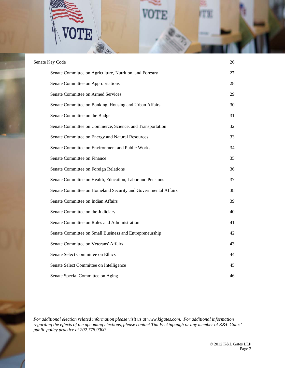$\mathbf{E}$ 

| Senate Key Code                                                | 26 |
|----------------------------------------------------------------|----|
| Senate Committee on Agriculture, Nutrition, and Forestry       | 27 |
| Senate Committee on Appropriations                             | 28 |
| Senate Committee on Armed Services                             | 29 |
| Senate Committee on Banking, Housing and Urban Affairs         | 30 |
| Senate Committee on the Budget                                 | 31 |
| Senate Committee on Commerce, Science, and Transportation      | 32 |
| Senate Committee on Energy and Natural Resources               | 33 |
| Senate Committee on Environment and Public Works               | 34 |
| Senate Committee on Finance                                    | 35 |
| Senate Committee on Foreign Relations                          | 36 |
| Senate Committee on Health, Education, Labor and Pensions      | 37 |
| Senate Committee on Homeland Security and Governmental Affairs | 38 |
| Senate Committee on Indian Affairs                             | 39 |
| Senate Committee on the Judiciary                              | 40 |
| Senate Committee on Rules and Administration                   | 41 |
| Senate Committee on Small Business and Entrepreneurship        | 42 |
| Senate Committee on Veterans' Affairs                          | 43 |
| Senate Select Committee on Ethics                              | 44 |
| Senate Select Committee on Intelligence                        | 45 |
| Senate Special Committee on Aging                              | 46 |

*For additional election related information please visit us at www.klgates.com. For additional information regarding the effects of the upcoming elections, please contact Tim Peckinpaugh or any member of K&L Gates' public policy practice at 202.778.9000.*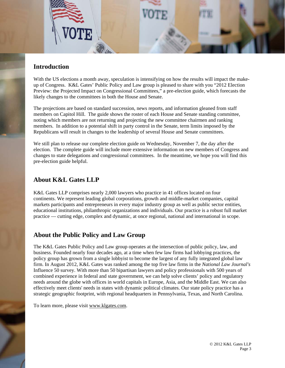

#### **Introduction**

With the US elections a month away, speculation is intensifying on how the results will impact the makeup of Congress. K&L Gates' Public Policy and Law group is pleased to share with you "2012 Election Preview: the Projected Impact on Congressional Committees," a pre-election guide, which forecasts the likely changes to the committees in both the House and Senate.

The projections are based on standard succession, news reports, and information gleaned from staff members on Capitol Hill. The guide shows the roster of each House and Senate standing committee, noting which members are not returning and projecting the new committee chairmen and ranking members. In addition to a potential shift in party control in the Senate, term limits imposed by the Republicans will result in changes to the leadership of several House and Senate committees.

We still plan to release our complete election guide on Wednesday, November 7, the day after the election. The complete guide will include more extensive information on new members of Congress and changes to state delegations and congressional committees. In the meantime, we hope you will find this pre-election guide helpful.

#### **About K&L Gates LLP**

K&L Gates LLP comprises nearly 2,000 lawyers who practice in 41 offices located on four continents. We represent leading global corporations, growth and middle-market companies, capital markets participants and entrepreneurs in every major industry group as well as public sector entities, educational institutions, philanthropic organizations and individuals. Our practice is a robust full market practice — cutting edge, complex and dynamic, at once regional, national and international in scope.

#### **About the Public Policy and Law Group**

The K&L Gates Public Policy and Law group operates at the intersection of public policy, law, and business. Founded nearly four decades ago, at a time when few law firms had lobbying practices, the policy group has grown from a single lobbyist to become the largest of any fully integrated global law firm. In August 2012, K&L Gates was ranked among the top five law firms in the *National Law Journal's* Influence 50 survey. With more than 50 bipartisan lawyers and policy professionals with 500 years of combined experience in federal and state government, we can help solve clients' policy and regulatory needs around the globe with offices in world capitals in Europe, Asia, and the Middle East. We can also effectively meet clients' needs in states with dynamic political climates. Our state policy practice has a strategic geographic footprint, with regional headquarters in Pennsylvania, Texas, and North Carolina.

To learn more, please visit www.klgates.com.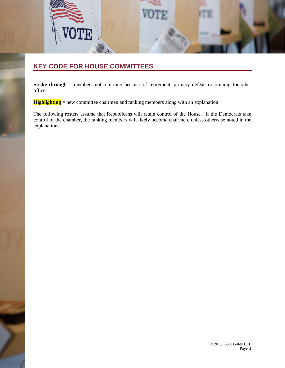

### **KEY CODE FOR HOUSE COMMITTEES**

**Strike through** = members not returning because of retirement, primary defeat, or running for other office

**Highlighting** = new committee chairmen and ranking members along with an explanation

The following rosters assume that Republicans will retain control of the House. If the Democrats take control of the chamber, the ranking members will likely become chairmen, unless otherwise noted in the explanations**.**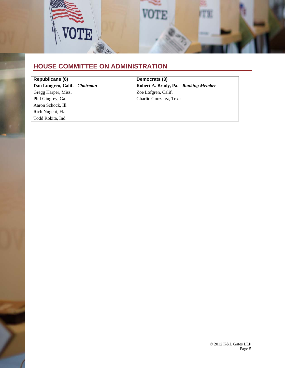

### **HOUSE COMMITTEE ON ADMINISTRATION**

| Republicans (6)                | Democrats (3)                         |
|--------------------------------|---------------------------------------|
| Dan Lungren, Calif. - Chairman | Robert A. Brady, Pa. - Ranking Member |
| Gregg Harper, Miss.            | Zoe Lofgren, Calif.                   |
| Phil Gingrey, Ga.              | Charlie Gonzalez, Texas               |
| Aaron Schock, Ill.             |                                       |
| Rich Nugent, Fla.              |                                       |
| Todd Rokita, Ind.              |                                       |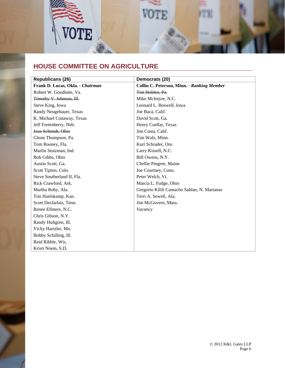

## **HOUSE COMMITTEE ON AGRICULTURE**

| <b>Republicans (26)</b>          | Democrats (20)                              |
|----------------------------------|---------------------------------------------|
| Frank D. Lucas, Okla. - Chairman | Collin C. Peterson, Minn. - Ranking Member  |
| Robert W. Goodlatte, Va.         | Tim Holden, Pa.                             |
| Timothy V. Johnson, Ill.         | Mike McIntyre, N.C.                         |
| Steve King, Iowa                 | Leonard L. Boswell, Iowa                    |
| Randy Neugebauer, Texas          | Joe Baca, Calif.                            |
| K. Michael Conaway, Texas        | David Scott, Ga.                            |
| Jeff Fortenberry, Neb.           | Henry Cuellar, Texas                        |
| Jean Schmidt, Ohio               | Jim Costa, Calif.                           |
| Glenn Thompson, Pa.              | Tim Walz, Minn.                             |
| Tom Rooney, Fla.                 | Kurt Schrader, Ore.                         |
| Marlin Stutzman, Ind.            | Larry Kissell, N.C.                         |
| Bob Gibbs, Ohio                  | Bill Owens, N.Y.                            |
| Austin Scott, Ga.                | Chellie Pingree, Maine                      |
| Scott Tipton, Colo.              | Joe Courtney, Conn.                         |
| Steve Southerland II, Fla.       | Peter Welch, Vt.                            |
| Rick Crawford, Ark.              | Marcia L. Fudge, Ohio                       |
| Martha Roby, Ala.                | Gregorio Kilili Camacho Sablan, N. Marianas |
| Tim Huelskamp, Kan.              | Terri A. Sewell, Ala.                       |
| Scott DesJarlais, Tenn.          | Jim McGovern, Mass.                         |
| Renee Ellmers, N.C.              | Vacancy                                     |
| Chris Gibson, N.Y.               |                                             |
| Randy Hultgren, Ill.             |                                             |
| Vicky Hartzler, Mo.              |                                             |
| Bobby Schilling, Ill.            |                                             |
| Reid Ribble, Wis.                |                                             |
| Kristi Noem, S.D.                |                                             |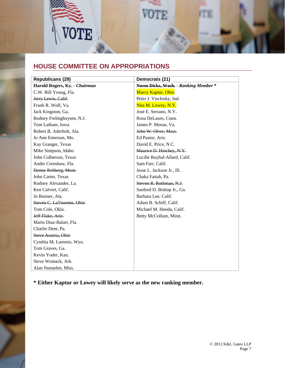

## **HOUSE COMMITTEE ON APPROPRIATIONS**

| <b>Republicans (29)</b>       | Democrats (21)                      |
|-------------------------------|-------------------------------------|
| Harold Rogers, Ky. - Chairman | Norm Dicks, Wash. - Ranking Member* |
| C.W. Bill Young, Fla.         | <b>Marcy Kaptur, Ohio</b>           |
| Jerry Lewis, Calif.           | Peter J. Visclosky, Ind.            |
| Frank R. Wolf, Va.            | Nita M. Lowey, N.Y.                 |
| Jack Kingston, Ga.            | José E. Serrano, N.Y.               |
| Rodney Frelinghuysen, N.J.    | Rosa DeLauro, Conn.                 |
| Tom Latham, Iowa              | James P. Moran, Va.                 |
| Robert B. Aderholt, Ala.      | John W. Olver, Mass.                |
| Jo Ann Emerson, Mo.           | Ed Pastor, Ariz.                    |
| Kay Granger, Texas            | David E. Price, N.C.                |
| Mike Simpson, Idaho           | Maurice D. Hinchey, N.Y.            |
| John Culberson, Texas         | Lucille Roybal-Allard, Calif.       |
| Ander Crenshaw, Fla.          | Sam Farr, Calif.                    |
| Denny Rehberg, Mont.          | Jesse L. Jackson Jr., Ill.          |
| John Carter, Texas            | Chaka Fattah, Pa.                   |
| Rodney Alexander, La.         | Steven R. Rothman, N.J.             |
| Ken Calvert, Calif.           | Sanford D. Bishop Jr., Ga.          |
| Jo Bonner, Ala.               | Barbara Lee, Calif.                 |
| Steven C. LaTourette, Ohio    | Adam B. Schiff, Calif.              |
| Tom Cole, Okla.               | Michael M. Honda, Calif.            |
| Jeff Flake, Ariz.             | Betty McCollum, Minn.               |
| Mario Diaz-Balart, Fla.       |                                     |
| Charlie Dent, Pa.             |                                     |
| Steve Austria, Ohio           |                                     |
| Cynthia M. Lummis, Wyo.       |                                     |
| Tom Graves, Ga.               |                                     |
| Kevin Yoder, Kan.             |                                     |
| Steve Womack, Ark.            |                                     |
| Alan Nunnelee, Miss.          |                                     |

**\* Either Kaptur or Lowey will likely serve as the new ranking member.**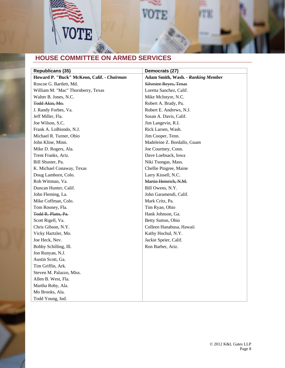

# **HOUSE COMMITTEE ON ARMED SERVICES**

| <b>Republicans (35)</b>                    | Democrats (27)                     |
|--------------------------------------------|------------------------------------|
| Howard P. "Buck" McKeon, Calif. - Chairman | Adam Smith, Wash. - Ranking Member |
| Roscoe G. Bartlett, Md.                    | <b>Silvestre Reyes, Texas</b>      |
| William M. "Mac" Thornberry, Texas         | Loretta Sanchez, Calif.            |
| Walter B. Jones, N.C.                      | Mike McIntyre, N.C.                |
| Todd Akin, Mo.                             | Robert A. Brady, Pa.               |
| J. Randy Forbes, Va.                       | Robert E. Andrews, N.J.            |
| Jeff Miller, Fla.                          | Susan A. Davis, Calif.             |
| Joe Wilson, S.C.                           | Jim Langevin, R.I.                 |
| Frank A. LoBiondo, N.J.                    | Rick Larsen, Wash.                 |
| Michael R. Turner, Ohio                    | Jim Cooper, Tenn.                  |
| John Kline, Minn.                          | Madeleine Z. Bordallo, Guam        |
| Mike D. Rogers, Ala.                       | Joe Courtney, Conn.                |
| Trent Franks, Ariz.                        | Dave Loebsack, Iowa                |
| Bill Shuster, Pa.                          | Niki Tsongas, Mass.                |
| K. Michael Conaway, Texas                  | Chellie Pingree, Maine             |
| Doug Lamborn, Colo.                        | Larry Kissell, N.C.                |
| Rob Wittman, Va.                           | Martin Heinrich, N.M.              |
| Duncan Hunter, Calif.                      | Bill Owens, N.Y.                   |
| John Fleming, La.                          | John Garamendi, Calif.             |
| Mike Coffman, Colo.                        | Mark Critz, Pa.                    |
| Tom Rooney, Fla.                           | Tim Ryan, Ohio                     |
| Todd R. Platts, Pa.                        | Hank Johnson, Ga.                  |
| Scott Rigell, Va.                          | Betty Sutton, Ohio                 |
| Chris Gibson, N.Y.                         | Colleen Hanabusa, Hawaii           |
| Vicky Hartzler, Mo.                        | Kathy Hochul, N.Y.                 |
| Joe Heck, Nev.                             | Jackie Speier, Calif.              |
| Bobby Schilling, Ill.                      | Ron Barber, Ariz.                  |
| Jon Runyan, N.J.                           |                                    |
| Austin Scott, Ga.                          |                                    |
| Tim Griffin, Ark.                          |                                    |
| Steven M. Palazzo, Miss.                   |                                    |
| Allen B. West, Fla.                        |                                    |
| Martha Roby, Ala.                          |                                    |
| Mo Brooks, Ala.                            |                                    |
| Todd Young, Ind.                           |                                    |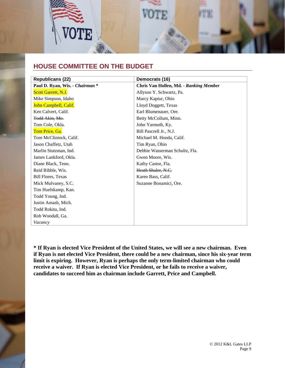

### **HOUSE COMMITTEE ON THE BUDGET**

| <b>Republicans (22)</b>         | Democrats (16)                         |
|---------------------------------|----------------------------------------|
| Paul D. Ryan, Wis. - Chairman * | Chris Van Hollen, Md. - Ranking Member |
| Scott Garrett, N.J.             | Allyson Y. Schwartz, Pa.               |
| Mike Simpson, Idaho             | Marcy Kaptur, Ohio                     |
| John Campbell, Calif.           | Lloyd Doggett, Texas                   |
| Ken Calvert, Calif.             | Earl Blumenauer, Ore.                  |
| Todd Akin, Mo.                  | Betty McCollum, Minn.                  |
| Tom Cole, Okla.                 | John Yarmuth, Ky.                      |
| Tom Price, Ga.                  | Bill Pascrell Jr., N.J.                |
| Tom McClintock, Calif.          | Michael M. Honda, Calif.               |
| Jason Chaffetz, Utah            | Tim Ryan, Ohio                         |
| Marlin Stutzman, Ind.           | Debbie Wasserman Schultz, Fla.         |
| James Lankford, Okla.           | Gwen Moore, Wis.                       |
| Diane Black, Tenn.              | Kathy Castor, Fla.                     |
| Reid Ribble, Wis.               | Heath Shuler, N.C.                     |
| <b>Bill Flores, Texas</b>       | Karen Bass, Calif.                     |
| Mick Mulvaney, S.C.             | Suzanne Bonamici, Ore.                 |
| Tim Huelskamp, Kan.             |                                        |
| Todd Young, Ind.                |                                        |
| Justin Amash, Mich.             |                                        |
| Todd Rokita, Ind.               |                                        |
| Rob Woodall, Ga.                |                                        |
| Vacancy                         |                                        |

**\* If Ryan is elected Vice President of the United States, we will see a new chairman. Even if Ryan is not elected Vice President, there could be a new chairman, since his six-year term limit is expiring. However, Ryan is perhaps the only term-limited chairman who could receive a waiver. If Ryan is elected Vice President, or he fails to receive a waiver, candidates to succeed him as chairman include Garrett, Price and Campbell.**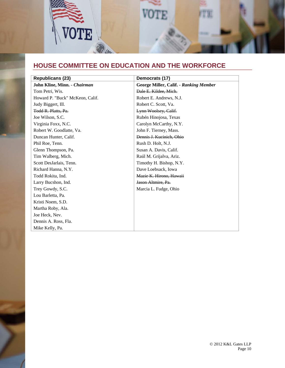

# **HOUSE COMMITTEE ON EDUCATION AND THE WORKFORCE**

| <b>Republicans (23)</b>         | Democrats (17)                                |
|---------------------------------|-----------------------------------------------|
| John Kline, Minn. - Chairman    | <b>George Miller, Calif. - Ranking Member</b> |
|                                 |                                               |
| Tom Petri, Wis.                 | Dale E. Kildee, Mich.                         |
| Howard P. "Buck" McKeon, Calif. | Robert E. Andrews, N.J.                       |
| Judy Biggert, Ill.              | Robert C. Scott, Va.                          |
| Todd R. Platts, Pa.             | Lynn Woolsey, Calif.                          |
| Joe Wilson, S.C.                | Rubén Hinojosa, Texas                         |
| Virginia Foxx, N.C.             | Carolyn McCarthy, N.Y.                        |
| Robert W. Goodlatte, Va.        | John F. Tierney, Mass.                        |
| Duncan Hunter, Calif.           | Dennis J. Kucinich, Ohio                      |
| Phil Roe, Tenn.                 | Rush D. Holt, N.J.                            |
| Glenn Thompson, Pa.             | Susan A. Davis, Calif.                        |
| Tim Walberg, Mich.              | Raúl M. Grijalva, Ariz.                       |
| Scott DesJarlais, Tenn.         | Timothy H. Bishop, N.Y.                       |
| Richard Hanna, N.Y.             | Dave Loebsack, Iowa                           |
| Todd Rokita, Ind.               | Mazie K. Hirono, Hawaii                       |
| Larry Bucshon, Ind.             | Jason Altmire, Pa.                            |
| Trey Gowdy, S.C.                | Marcia L. Fudge, Ohio                         |
| Lou Barletta, Pa.               |                                               |
| Kristi Noem, S.D.               |                                               |
| Martha Roby, Ala.               |                                               |
| Joe Heck, Nev.                  |                                               |
| Dennis A. Ross, Fla.            |                                               |
| Mike Kelly, Pa.                 |                                               |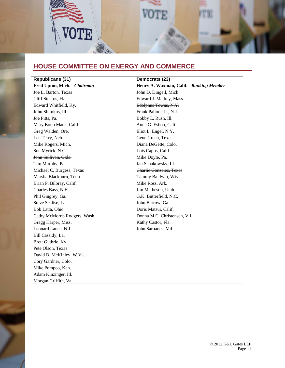

### **HOUSE COMMITTEE ON ENERGY AND COMMERCE**

| <b>Republicans (31)</b>       | Democrats (23)                           |
|-------------------------------|------------------------------------------|
| Fred Upton, Mich. - Chairman  | Henry A. Waxman, Calif. - Ranking Member |
| Joe L. Barton, Texas          | John D. Dingell, Mich.                   |
| Cliff Stearns, Fla.           | Edward J. Markey, Mass.                  |
| Edward Whitfield, Ky.         | Edolphus Towns, N.Y.                     |
| John Shimkus, Ill.            | Frank Pallone Jr., N.J.                  |
| Joe Pitts, Pa.                | Bobby L. Rush, Ill.                      |
| Mary Bono Mack, Calif.        | Anna G. Eshoo, Calif.                    |
| Greg Walden, Ore.             | Eliot L. Engel, N.Y.                     |
| Lee Terry, Neb.               | Gene Green, Texas                        |
| Mike Rogers, Mich.            | Diana DeGette, Colo.                     |
| Sue Myrick, N.C.              | Lois Capps, Calif.                       |
| John Sullivan, Okla.          | Mike Doyle, Pa.                          |
| Tim Murphy, Pa.               | Jan Schakowsky, Ill.                     |
| Michael C. Burgess, Texas     | Charlie Gonzalez, Texas                  |
| Marsha Blackburn, Tenn.       | Tammy Baldwin, Wis.                      |
| Brian P. Bilbray, Calif.      | Mike Ross, Ark.                          |
| Charles Bass, N.H.            | Jim Matheson, Utah                       |
| Phil Gingrey, Ga.             | G.K. Butterfield, N.C.                   |
| Steve Scalise, La.            | John Barrow, Ga.                         |
| Bob Latta, Ohio               | Doris Matsui, Calif.                     |
| Cathy McMorris Rodgers, Wash. | Donna M.C. Christensen, V.I.             |
| Gregg Harper, Miss.           | Kathy Castor, Fla.                       |
| Leonard Lance, N.J.           | John Sarbanes, Md.                       |
| Bill Cassidy, La.             |                                          |
| Brett Guthrie, Ky.            |                                          |
| Pete Olson, Texas             |                                          |
| David B. McKinley, W.Va.      |                                          |
| Cory Gardner, Colo.           |                                          |
| Mike Pompeo, Kan.             |                                          |
| Adam Kinzinger, Ill.          |                                          |
| Morgan Griffith, Va.          |                                          |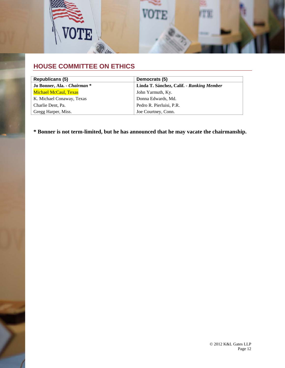

## **HOUSE COMMITTEE ON ETHICS**

| Republicans (5)              | Democrats (5)                             |
|------------------------------|-------------------------------------------|
| Jo Bonner, Ala. - Chairman * | Linda T. Sánchez, Calif. - Ranking Member |
| <b>Michael McCaul, Texas</b> | John Yarmuth, Ky.                         |
| K. Michael Conaway, Texas    | Donna Edwards, Md.                        |
| Charlie Dent, Pa.            | Pedro R. Pierluisi, P.R.                  |
| Gregg Harper, Miss.          | Joe Courtney, Conn.                       |

**\* Bonner is not term-limited, but he has announced that he may vacate the chairmanship.**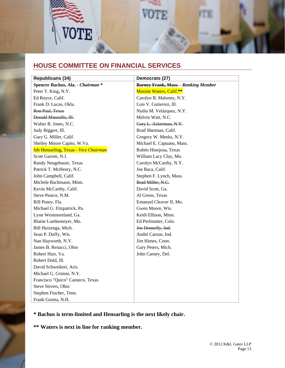

## **HOUSE COMMITTEE ON FINANCIAL SERVICES**

| <b>Republicans (34)</b>               | Democrats (27)                              |
|---------------------------------------|---------------------------------------------|
| Spencer Bachus, Ala. - Chairman *     | <b>Barney Frank, Mass. - Ranking Member</b> |
| Peter T. King, N.Y.                   | Maxine Waters, Calif.**                     |
| Ed Royce, Calif.                      | Carolyn B. Maloney, N.Y.                    |
| Frank D. Lucas, Okla.                 | Luis V. Gutierrez, Ill.                     |
| Ron Paul, Texas                       | Nydia M. Velázquez, N.Y.                    |
| Donald Manzullo, Ill.                 | Melvin Watt, N.C.                           |
| Walter B. Jones, N.C.                 | Gary L. Ackerman, N.Y.                      |
| Judy Biggert, Ill.                    | Brad Sherman, Calif.                        |
| Gary G. Miller, Calif.                | Gregory W. Meeks, N.Y.                      |
| Shelley Moore Capito, W.Va.           | Michael E. Capuano, Mass.                   |
| Jeb Hensarling, Texas - Vice Chairman | Rubén Hinojosa, Texas                       |
| Scott Garrett, N.J.                   | William Lacy Clay, Mo.                      |
| Randy Neugebauer, Texas               | Carolyn McCarthy, N.Y.                      |
| Patrick T. McHenry, N.C.              | Joe Baca, Calif.                            |
| John Campbell, Calif.                 | Stephen F. Lynch, Mass.                     |
| Michele Bachmann, Minn.               | Brad Miller, N.C.                           |
| Kevin McCarthy, Calif.                | David Scott, Ga.                            |
| Steve Pearce, N.M.                    | Al Green, Texas                             |
| Bill Posey, Fla.                      | Emanuel Cleaver II, Mo.                     |
| Michael G. Fitzpatrick, Pa.           | Gwen Moore, Wis.                            |
| Lynn Westmoreland, Ga.                | Keith Ellison, Minn.                        |
| Blaine Luetkemeyer, Mo.               | Ed Perlmutter, Colo.                        |
| Bill Huizenga, Mich.                  | Joe Donnelly, Ind.                          |
| Sean P. Duffy, Wis.                   | André Carson, Ind.                          |
| Nan Hayworth, N.Y.                    | Jim Himes, Conn.                            |
| James B. Renacci, Ohio                | Gary Peters, Mich.                          |
| Robert Hurt, Va.                      | John Carney, Del.                           |
| Robert Dold, Ill.                     |                                             |
| David Schweikert, Ariz.               |                                             |
| Michael G. Grimm, N.Y.                |                                             |
| Francisco "Quico" Canseco, Texas      |                                             |
| Steve Stivers, Ohio                   |                                             |
| Stephen Fincher, Tenn.                |                                             |
| Frank Guinta, N.H.                    |                                             |

#### **\* Bachus is term-limited and Hensarling is the next likely chair.**

**\*\* Waters is next in line for ranking member.**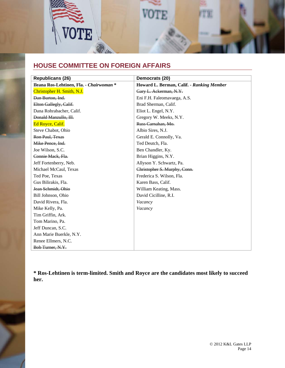

# **HOUSE COMMITTEE ON FOREIGN AFFAIRS**

| <b>Republicans (26)</b>                  | Democrats (20)                            |
|------------------------------------------|-------------------------------------------|
| Ileana Ros-Lehtinen, Fla. - Chairwoman * | Howard L. Berman, Calif. - Ranking Member |
| Christopher H. Smith, N.J.               | Gary L. Ackerman, N.Y.                    |
| Dan Burton, Ind.                         | Eni F.H. Faleomavaega, A.S.               |
| Elton Gallegly, Calif.                   | Brad Sherman, Calif.                      |
| Dana Rohrabacher, Calif.                 | Eliot L. Engel, N.Y.                      |
| Donald Manzullo, Ill.                    | Gregory W. Meeks, N.Y.                    |
| Ed Royce, Calif.                         | Russ Carnahan, Mo.                        |
| Steve Chabot, Ohio                       | Albio Sires, N.J.                         |
| Ron Paul, Texas                          | Gerald E. Connolly, Va.                   |
| Mike Pence, Ind.                         | Ted Deutch, Fla.                          |
| Joe Wilson, S.C.                         | Ben Chandler, Ky.                         |
| Connie Mack, Fla.                        | Brian Higgins, N.Y.                       |
| Jeff Fortenberry, Neb.                   | Allyson Y. Schwartz, Pa.                  |
| Michael McCaul, Texas                    | Christopher S. Murphy, Conn.              |
| Ted Poe, Texas                           | Frederica S. Wilson, Fla.                 |
| Gus Bilirakis, Fla.                      | Karen Bass, Calif.                        |
| Jean Schmidt, Ohio                       | William Keating, Mass.                    |
| Bill Johnson, Ohio                       | David Cicilline, R.I.                     |
| David Rivera, Fla.                       | Vacancy                                   |
| Mike Kelly, Pa.                          | Vacancy                                   |
| Tim Griffin, Ark.                        |                                           |
| Tom Marino, Pa.                          |                                           |
| Jeff Duncan, S.C.                        |                                           |
| Ann Marie Buerkle, N.Y.                  |                                           |
| Renee Ellmers, N.C.                      |                                           |
| Bob Turner, N.Y.                         |                                           |

**\* Ros-Lehtinen is term-limited. Smith and Royce are the candidates most likely to succeed her.**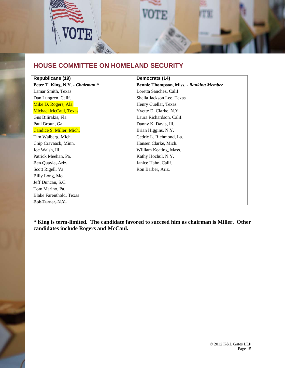

## **HOUSE COMMITTEE ON HOMELAND SECURITY**

| <b>Republicans (19)</b>          | Democrats (14)                                 |
|----------------------------------|------------------------------------------------|
| Peter T. King, N.Y. - Chairman * | <b>Bennie Thompson, Miss. - Ranking Member</b> |
| Lamar Smith, Texas               | Loretta Sanchez, Calif.                        |
| Dan Lungren, Calif.              | Sheila Jackson Lee, Texas                      |
| Mike D. Rogers, Ala.             | Henry Cuellar, Texas                           |
| <b>Michael McCaul, Texas</b>     | Yvette D. Clarke, N.Y.                         |
| Gus Bilirakis, Fla.              | Laura Richardson, Calif.                       |
| Paul Broun, Ga.                  | Danny K. Davis, Ill.                           |
| Candice S. Miller, Mich.         | Brian Higgins, N.Y.                            |
| Tim Walberg, Mich.               | Cedric L. Richmond, La.                        |
| Chip Cravaack, Minn.             | Hansen Clarke, Mich.                           |
| Joe Walsh, Ill.                  | William Keating, Mass.                         |
| Patrick Meehan, Pa.              | Kathy Hochul, N.Y.                             |
| Ben Quayle, Ariz.                | Janice Hahn, Calif.                            |
| Scott Rigell, Va.                | Ron Barber, Ariz.                              |
| Billy Long, Mo.                  |                                                |
| Jeff Duncan, S.C.                |                                                |
| Tom Marino, Pa.                  |                                                |
| Blake Farenthold, Texas          |                                                |
| <del>Bob Turner, N.Y.</del>      |                                                |

**\* King is term-limited. The candidate favored to succeed him as chairman is Miller. Other candidates include Rogers and McCaul.**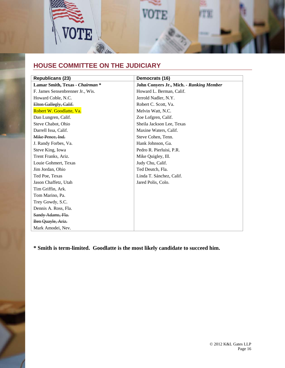

# **HOUSE COMMITTEE ON THE JUDICIARY**

| <b>Republicans (23)</b>          | Democrats (16)                           |
|----------------------------------|------------------------------------------|
| Lamar Smith, Texas - Chairman *  | John Conyers Jr., Mich. - Ranking Member |
| F. James Sensenbrenner Jr., Wis. | Howard L. Berman, Calif.                 |
| Howard Coble, N.C.               | Jerrold Nadler, N.Y.                     |
| Elton Gallegly, Calif.           | Robert C. Scott, Va.                     |
| Robert W. Goodlatte, Va.         | Melvin Watt, N.C.                        |
| Dan Lungren, Calif.              | Zoe Lofgren, Calif.                      |
| Steve Chabot, Ohio               | Sheila Jackson Lee, Texas                |
| Darrell Issa, Calif.             | Maxine Waters, Calif.                    |
| Mike Pence, Ind.                 | Steve Cohen, Tenn.                       |
| J. Randy Forbes, Va.             | Hank Johnson, Ga.                        |
| Steve King, Iowa                 | Pedro R. Pierluisi, P.R.                 |
| Trent Franks, Ariz.              | Mike Quigley, Ill.                       |
| Louie Gohmert, Texas             | Judy Chu, Calif.                         |
| Jim Jordan, Ohio                 | Ted Deutch, Fla.                         |
| Ted Poe, Texas                   | Linda T. Sánchez, Calif.                 |
| Jason Chaffetz, Utah             | Jared Polis, Colo.                       |
| Tim Griffin, Ark.                |                                          |
| Tom Marino, Pa.                  |                                          |
| Trey Gowdy, S.C.                 |                                          |
| Dennis A. Ross, Fla.             |                                          |
| Sandy Adams, Fla.                |                                          |
| Ben Quayle, Ariz.                |                                          |
| Mark Amodei, Nev.                |                                          |

**\* Smith is term-limited. Goodlatte is the most likely candidate to succeed him.**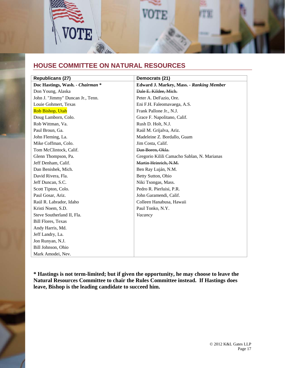

### **HOUSE COMMITTEE ON NATURAL RESOURCES**

| <b>Republicans (27)</b>           | Democrats (21)                                  |
|-----------------------------------|-------------------------------------------------|
| Doc Hastings, Wash. - Chairman *  | <b>Edward J. Markey, Mass. - Ranking Member</b> |
| Don Young, Alaska                 | Dale E. Kildee, Mich.                           |
| John J. "Jimmy" Duncan Jr., Tenn. | Peter A. DeFazio, Ore.                          |
| Louie Gohmert, Texas              | Eni F.H. Faleomavaega, A.S.                     |
| Rob Bishop, Utah                  | Frank Pallone Jr., N.J.                         |
| Doug Lamborn, Colo.               | Grace F. Napolitano, Calif.                     |
| Rob Wittman, Va.                  | Rush D. Holt, N.J.                              |
| Paul Broun, Ga.                   | Raúl M. Grijalva, Ariz.                         |
| John Fleming, La.                 | Madeleine Z. Bordallo, Guam                     |
| Mike Coffman, Colo.               | Jim Costa, Calif.                               |
| Tom McClintock, Calif.            | Dan Boren, Okla.                                |
| Glenn Thompson, Pa.               | Gregorio Kilili Camacho Sablan, N. Marianas     |
| Jeff Denham, Calif.               | Martin Heinrich, N.M.                           |
| Dan Benishek, Mich.               | Ben Ray Luján, N.M.                             |
| David Rivera, Fla.                | Betty Sutton, Ohio                              |
| Jeff Duncan, S.C.                 | Niki Tsongas, Mass.                             |
| Scott Tipton, Colo.               | Pedro R. Pierluisi, P.R.                        |
| Paul Gosar, Ariz.                 | John Garamendi, Calif.                          |
| Raúl R. Labrador, Idaho           | Colleen Hanabusa, Hawaii                        |
| Kristi Noem, S.D.                 | Paul Tonko, N.Y.                                |
| Steve Southerland II, Fla.        | Vacancy                                         |
| <b>Bill Flores, Texas</b>         |                                                 |
| Andy Harris, Md.                  |                                                 |
| Jeff Landry, La.                  |                                                 |
| Jon Runyan, N.J.                  |                                                 |
| Bill Johnson, Ohio                |                                                 |
| Mark Amodei, Nev.                 |                                                 |

**\* Hastings is not term-limited; but if given the opportunity, he may choose to leave the Natural Resources Committee to chair the Rules Committee instead. If Hastings does leave, Bishop is the leading candidate to succeed him.**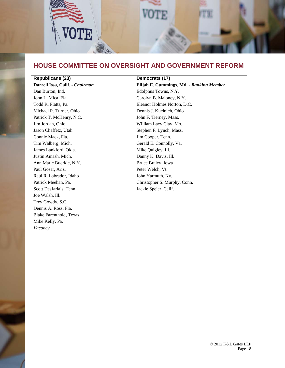

# **HOUSE COMMITTEE ON OVERSIGHT AND GOVERNMENT REFORM**

| <b>Republicans (23)</b>         | Democrats (17)                           |
|---------------------------------|------------------------------------------|
| Darrell Issa, Calif. - Chairman | Elijah E. Cummings, Md. - Ranking Member |
| Dan Burton, Ind.                | Edolphus Towns, N.Y.                     |
| John L. Mica, Fla.              | Carolyn B. Maloney, N.Y.                 |
| Todd R. Platts, Pa.             | Eleanor Holmes Norton, D.C.              |
| Michael R. Turner, Ohio         | Dennis J. Kucinich, Ohio                 |
| Patrick T. McHenry, N.C.        | John F. Tierney, Mass.                   |
| Jim Jordan, Ohio                | William Lacy Clay, Mo.                   |
| Jason Chaffetz, Utah            | Stephen F. Lynch, Mass.                  |
| Connie Mack, Fla.               | Jim Cooper, Tenn.                        |
| Tim Walberg, Mich.              | Gerald E. Connolly, Va.                  |
| James Lankford, Okla.           | Mike Quigley, Ill.                       |
| Justin Amash, Mich.             | Danny K. Davis, Ill.                     |
| Ann Marie Buerkle, N.Y.         | Bruce Braley, Iowa                       |
| Paul Gosar, Ariz.               | Peter Welch, Vt.                         |
| Raúl R. Labrador, Idaho         | John Yarmuth, Ky.                        |
| Patrick Meehan, Pa.             | Christopher S. Murphy, Conn.             |
| Scott DesJarlais, Tenn.         | Jackie Speier, Calif.                    |
| Joe Walsh, Ill.                 |                                          |
| Trey Gowdy, S.C.                |                                          |
| Dennis A. Ross, Fla.            |                                          |
| Blake Farenthold, Texas         |                                          |
| Mike Kelly, Pa.                 |                                          |
| Vacancy                         |                                          |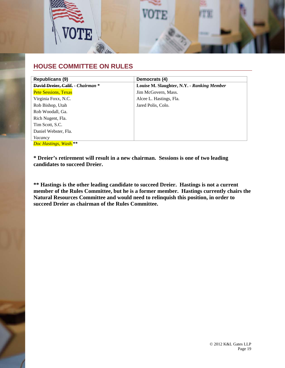

### **HOUSE COMMITTEE ON RULES**

| <b>Republicans (9)</b>            | Democrats (4)                              |
|-----------------------------------|--------------------------------------------|
| David Dreier, Calif. - Chairman * | Louise M. Slaughter, N.Y. - Ranking Member |
| <b>Pete Sessions, Texas</b>       | Jim McGovern, Mass.                        |
| Virginia Foxx, N.C.               | Alcee L. Hastings, Fla.                    |
| Rob Bishop, Utah                  | Jared Polis, Colo.                         |
| Rob Woodall, Ga.                  |                                            |
| Rich Nugent, Fla.                 |                                            |
| Tim Scott, S.C.                   |                                            |
| Daniel Webster, Fla.              |                                            |
| Vacancy                           |                                            |
| Doc Hastings, Wash.**             |                                            |

**\* Dreier's retirement will result in a new chairman. Sessions is one of two leading candidates to succeed Dreier.** 

**\*\* Hastings is the other leading candidate to succeed Dreier. Hastings is not a current member of the Rules Committee, but he is a former member. Hastings currently chairs the Natural Resources Committee and would need to relinquish this position, in order to succeed Dreier as chairman of the Rules Committee.**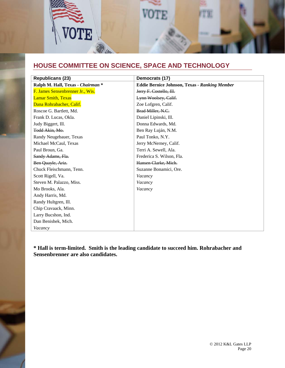

# **HOUSE COMMITTEE ON SCIENCE, SPACE AND TECHNOLOGY**

| <b>Republicans (23)</b>           | Democrats (17)                                       |
|-----------------------------------|------------------------------------------------------|
| Ralph M. Hall, Texas - Chairman * | <b>Eddie Bernice Johnson, Texas - Ranking Member</b> |
| F. James Sensenbrenner Jr., Wis.  | Jerry F. Costello, Ill.                              |
| <b>Lamar Smith, Texas</b>         | Lynn Woolsey, Calif.                                 |
| Dana Rohrabacher, Calif.          | Zoe Lofgren, Calif.                                  |
| Roscoe G. Bartlett, Md.           | Brad Miller, N.C.                                    |
| Frank D. Lucas, Okla.             | Daniel Lipinski, Ill.                                |
| Judy Biggert, Ill.                | Donna Edwards, Md.                                   |
| Todd Akin, Mo.                    | Ben Ray Luján, N.M.                                  |
| Randy Neugebauer, Texas           | Paul Tonko, N.Y.                                     |
| Michael McCaul, Texas             | Jerry McNerney, Calif.                               |
| Paul Broun, Ga.                   | Terri A. Sewell, Ala.                                |
| Sandy Adams, Fla.                 | Frederica S. Wilson, Fla.                            |
| Ben Quayle, Ariz.                 | Hansen Clarke, Mich.                                 |
| Chuck Fleischmann, Tenn.          | Suzanne Bonamici, Ore.                               |
| Scott Rigell, Va.                 | Vacancy                                              |
| Steven M. Palazzo, Miss.          | Vacancy                                              |
| Mo Brooks, Ala.                   | Vacancy                                              |
| Andy Harris, Md.                  |                                                      |
| Randy Hultgren, Ill.              |                                                      |
| Chip Cravaack, Minn.              |                                                      |
| Larry Bucshon, Ind.               |                                                      |
| Dan Benishek, Mich.               |                                                      |
| Vacancy                           |                                                      |

**\* Hall is term-limited. Smith is the leading candidate to succeed him. Rohrabacher and Sensenbrenner are also candidates.**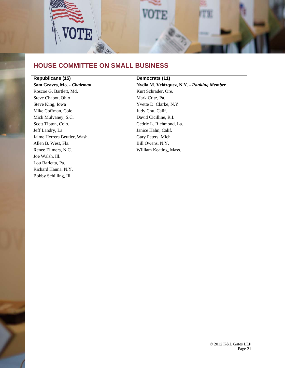

# **HOUSE COMMITTEE ON SMALL BUSINESS**

| Republicans (15)             | Democrats (11)                            |
|------------------------------|-------------------------------------------|
| Sam Graves, Mo. - Chairman   | Nydia M. Velázquez, N.Y. - Ranking Member |
| Roscoe G. Bartlett, Md.      | Kurt Schrader, Ore.                       |
| Steve Chabot, Ohio           | Mark Critz, Pa.                           |
| Steve King, Iowa             | Yvette D. Clarke, N.Y.                    |
| Mike Coffman, Colo.          | Judy Chu, Calif.                          |
| Mick Mulvaney, S.C.          | David Cicilline, R.I.                     |
| Scott Tipton, Colo.          | Cedric L. Richmond, La.                   |
| Jeff Landry, La.             | Janice Hahn, Calif.                       |
| Jaime Herrera Beutler, Wash. | Gary Peters, Mich.                        |
| Allen B. West, Fla.          | Bill Owens, N.Y.                          |
| Renee Ellmers, N.C.          | William Keating, Mass.                    |
| Joe Walsh, Ill.              |                                           |
| Lou Barletta, Pa.            |                                           |
| Richard Hanna, N.Y.          |                                           |
| Bobby Schilling, Ill.        |                                           |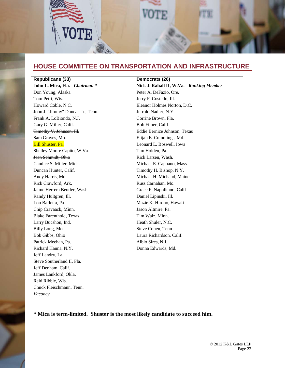

### **HOUSE COMMITTEE ON TRANSPORTATION AND INFRASTRUCTURE**

| <b>Republicans (33)</b>           | Democrats (26)                            |
|-----------------------------------|-------------------------------------------|
| John L. Mica, Fla. - Chairman *   | Nick J. Rahall II, W.Va. - Ranking Member |
| Don Young, Alaska                 | Peter A. DeFazio, Ore.                    |
| Tom Petri, Wis.                   | Jerry F. Costello, Ill.                   |
| Howard Coble, N.C.                | Eleanor Holmes Norton, D.C.               |
| John J. "Jimmy" Duncan Jr., Tenn. | Jerrold Nadler, N.Y.                      |
| Frank A. LoBiondo, N.J.           | Corrine Brown, Fla.                       |
| Gary G. Miller, Calif.            | Bob Filner, Calif.                        |
| Timothy V. Johnson, Ill.          | Eddie Bernice Johnson, Texas              |
| Sam Graves, Mo.                   | Elijah E. Cummings, Md.                   |
| Bill Shuster, Pa.                 | Leonard L. Boswell, Iowa                  |
| Shelley Moore Capito, W.Va.       | Tim Holden, Pa.                           |
| Jean Schmidt, Ohio                | Rick Larsen, Wash.                        |
| Candice S. Miller, Mich.          | Michael E. Capuano, Mass.                 |
| Duncan Hunter, Calif.             | Timothy H. Bishop, N.Y.                   |
| Andy Harris, Md.                  | Michael H. Michaud, Maine                 |
| Rick Crawford, Ark.               | Russ Carnahan, Mo.                        |
| Jaime Herrera Beutler, Wash.      | Grace F. Napolitano, Calif.               |
| Randy Hultgren, Ill.              | Daniel Lipinski, Ill.                     |
| Lou Barletta, Pa.                 | Mazie K. Hirono, Hawaii                   |
| Chip Cravaack, Minn.              | Jason Altmire, Pa.                        |
| <b>Blake Farenthold, Texas</b>    | Tim Walz, Minn.                           |
| Larry Bucshon, Ind.               | Heath Shuler, N.C.                        |
| Billy Long, Mo.                   | Steve Cohen, Tenn.                        |
| Bob Gibbs, Ohio                   | Laura Richardson, Calif.                  |
| Patrick Meehan, Pa.               | Albio Sires, N.J.                         |
| Richard Hanna, N.Y.               | Donna Edwards, Md.                        |
| Jeff Landry, La.                  |                                           |
| Steve Southerland II, Fla.        |                                           |
| Jeff Denham, Calif.               |                                           |
| James Lankford, Okla.             |                                           |
| Reid Ribble, Wis.                 |                                           |
| Chuck Fleischmann, Tenn.          |                                           |
| Vacancy                           |                                           |

**\* Mica is term-limited. Shuster is the most likely candidate to succeed him.**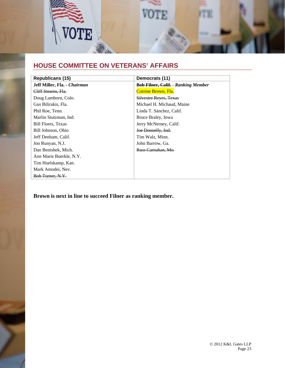

# **HOUSE COMMITTEE ON VETERANS' AFFAIRS**

| Republicans (15)             | Democrats (11)                             |
|------------------------------|--------------------------------------------|
| Jeff Miller, Fla. - Chairman | <b>Bob Filner, Calif. - Ranking Member</b> |
| Cliff Stearns, Fla.          | Corrine Brown, Fla.                        |
| Doug Lamborn, Colo.          | <b>Silvestre Reves, Texas</b>              |
| Gus Bilirakis, Fla.          | Michael H. Michaud, Maine                  |
| Phil Roe, Tenn.              | Linda T. Sánchez, Calif.                   |
| Marlin Stutzman, Ind.        | Bruce Braley, Iowa                         |
| <b>Bill Flores, Texas</b>    | Jerry McNerney, Calif.                     |
| Bill Johnson, Ohio           | Joe Donnelly, Ind.                         |
| Jeff Denham, Calif.          | Tim Walz, Minn.                            |
| Jon Runyan, N.J.             | John Barrow, Ga.                           |
| Dan Benishek, Mich.          | Russ Carnahan, Mo.                         |
| Ann Marie Buerkle, N.Y.      |                                            |
| Tim Huelskamp, Kan.          |                                            |
| Mark Amodei, Nev.            |                                            |
| Bob Turner, N.Y.             |                                            |

**Brown is next in line to succeed Filner as ranking member.**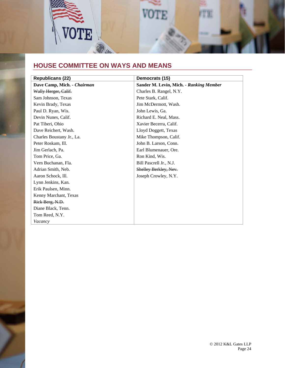

# **HOUSE COMMITTEE ON WAYS AND MEANS**

| <b>Republicans (22)</b>     | Democrats (15)                          |
|-----------------------------|-----------------------------------------|
| Dave Camp, Mich. - Chairman | Sander M. Levin, Mich. - Ranking Member |
| Wally Herger, Calif.        | Charles B. Rangel, N.Y.                 |
| Sam Johnson, Texas          | Pete Stark, Calif.                      |
| Kevin Brady, Texas          | Jim McDermott, Wash.                    |
| Paul D. Ryan, Wis.          | John Lewis, Ga.                         |
| Devin Nunes, Calif.         | Richard E. Neal, Mass.                  |
| Pat Tiberi, Ohio            | Xavier Becerra, Calif.                  |
| Dave Reichert, Wash.        | Lloyd Doggett, Texas                    |
| Charles Boustany Jr., La.   | Mike Thompson, Calif.                   |
| Peter Roskam, Ill.          | John B. Larson, Conn.                   |
| Jim Gerlach, Pa.            | Earl Blumenauer, Ore.                   |
| Tom Price, Ga.              | Ron Kind, Wis.                          |
| Vern Buchanan, Fla.         | Bill Pascrell Jr., N.J.                 |
| Adrian Smith, Neb.          | Shelley Berkley, Nev.                   |
| Aaron Schock, Ill.          | Joseph Crowley, N.Y.                    |
| Lynn Jenkins, Kan.          |                                         |
| Erik Paulsen, Minn.         |                                         |
| Kenny Marchant, Texas       |                                         |
| Rick Berg, N.D.             |                                         |
| Diane Black, Tenn.          |                                         |
| Tom Reed, N.Y.              |                                         |
| Vacancy                     |                                         |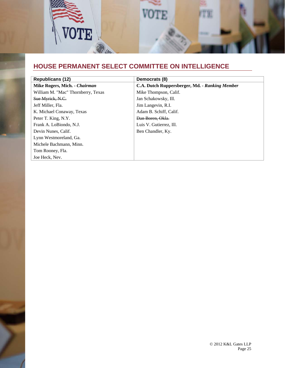

# **HOUSE PERMANENT SELECT COMMITTEE ON INTELLIGENCE**

| <b>Republicans (12)</b>            | Democrats (8)                                  |
|------------------------------------|------------------------------------------------|
| Mike Rogers, Mich. - Chairman      | C.A. Dutch Ruppersberger, Md. - Ranking Member |
| William M. "Mac" Thornberry, Texas | Mike Thompson, Calif.                          |
| Sue Myrick, N.C.                   | Jan Schakowsky, Ill.                           |
| Jeff Miller, Fla.                  | Jim Langevin, R.I.                             |
| K. Michael Conaway, Texas          | Adam B. Schiff, Calif.                         |
| Peter T. King, N.Y.                | Dan Boren, Okla.                               |
| Frank A. LoBiondo, N.J.            | Luis V. Gutierrez, Ill.                        |
| Devin Nunes, Calif.                | Ben Chandler, Ky.                              |
| Lynn Westmoreland, Ga.             |                                                |
| Michele Bachmann, Minn.            |                                                |
| Tom Rooney, Fla.                   |                                                |
| Joe Heck, Nev.                     |                                                |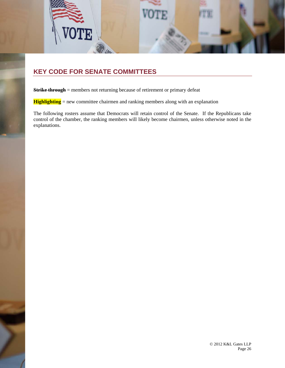

### **KEY CODE FOR SENATE COMMITTEES**

**Strike through** = members not returning because of retirement or primary defeat

**Highlighting** = new committee chairmen and ranking members along with an explanation

The following rosters assume that Democrats will retain control of the Senate. If the Republicans take control of the chamber, the ranking members will likely become chairmen, unless otherwise noted in the explanations.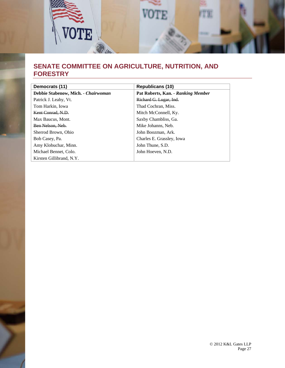

### **SENATE COMMITTEE ON AGRICULTURE, NUTRITION, AND FORESTRY**

| Democrats (11)                      | <b>Republicans (10)</b>            |
|-------------------------------------|------------------------------------|
| Debbie Stabenow, Mich. - Chairwoman | Pat Roberts, Kan. - Ranking Member |
| Patrick J. Leahy, Vt.               | Richard G. Lugar, Ind.             |
| Tom Harkin, Iowa                    | Thad Cochran, Miss.                |
| Kent Conrad, N.D.                   | Mitch McConnell, Ky.               |
| Max Baucus, Mont.                   | Saxby Chambliss, Ga.               |
| Ben Nelson, Neb.                    | Mike Johanns, Neb.                 |
| Sherrod Brown, Ohio                 | John Boozman, Ark.                 |
| Bob Casey, Pa.                      | Charles E. Grassley, Iowa          |
| Amy Klobuchar, Minn.                | John Thune, S.D.                   |
| Michael Bennet, Colo.               | John Hoeven, N.D.                  |
| Kirsten Gillibrand, N.Y.            |                                    |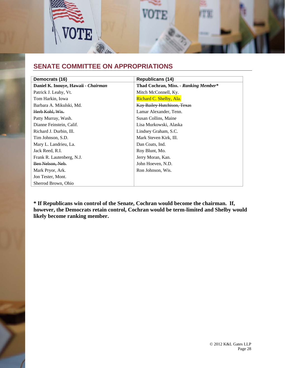

### **SENATE COMMITTEE ON APPROPRIATIONS**

| Democrats (16)                      | <b>Republicans (14)</b>               |
|-------------------------------------|---------------------------------------|
| Daniel K. Inouye, Hawaii - Chairman | Thad Cochran, Miss. - Ranking Member* |
| Patrick J. Leahy, Vt.               | Mitch McConnell, Ky.                  |
| Tom Harkin, Iowa                    | Richard C. Shelby, Ala.               |
| Barbara A. Mikulski, Md.            | Kay Bailey Hutchison, Texas           |
| Herb Kohl, Wis.                     | Lamar Alexander, Tenn.                |
| Patty Murray, Wash.                 | Susan Collins, Maine                  |
| Dianne Feinstein, Calif.            | Lisa Murkowski, Alaska                |
| Richard J. Durbin, Ill.             | Lindsey Graham, S.C.                  |
| Tim Johnson, S.D.                   | Mark Steven Kirk, Ill.                |
| Mary L. Landrieu, La.               | Dan Coats, Ind.                       |
| Jack Reed, R.I.                     | Roy Blunt, Mo.                        |
| Frank R. Lautenberg, N.J.           | Jerry Moran, Kan.                     |
| Ben Nelson, Neb.                    | John Hoeven, N.D.                     |
| Mark Pryor, Ark.                    | Ron Johnson, Wis.                     |
| Jon Tester, Mont.                   |                                       |
| Sherrod Brown, Ohio                 |                                       |

**\* If Republicans win control of the Senate, Cochran would become the chairman. If, however, the Democrats retain control, Cochran would be term-limited and Shelby would likely become ranking member.**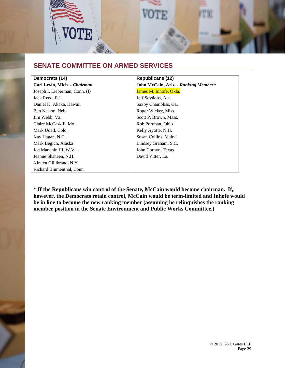

### **SENATE COMMITTEE ON ARMED SERVICES**

| Democrats (14)                 | <b>Republicans (12)</b>              |
|--------------------------------|--------------------------------------|
| Carl Levin, Mich. - Chairman   | John McCain, Ariz. - Ranking Member* |
| Joseph I. Lieberman, Conn. (I) | James M. Inhofe, Okla.               |
| Jack Reed, R.I.                | Jeff Sessions, Ala.                  |
| Daniel K. Akaka, Hawaii        | Saxby Chambliss, Ga.                 |
| Ben Nelson, Neb.               | Roger Wicker, Miss.                  |
| Jim Webb, Va.                  | Scott P. Brown, Mass.                |
| Claire McCaskill, Mo.          | Rob Portman, Ohio                    |
| Mark Udall, Colo.              | Kelly Ayotte, N.H.                   |
| Kay Hagan, N.C.                | Susan Collins, Maine                 |
| Mark Begich, Alaska            | Lindsey Graham, S.C.                 |
| Joe Manchin III, W.Va.         | John Cornyn, Texas                   |
| Jeanne Shaheen, N.H.           | David Vitter, La.                    |
| Kirsten Gillibrand, N.Y.       |                                      |
| Richard Blumenthal, Conn.      |                                      |

**\* If the Republicans win control of the Senate, McCain would become chairman. If, however, the Democrats retain control, McCain would be term-limited and Inhofe would be in line to become the new ranking member (assuming he relinquishes the ranking member position in the Senate Environment and Public Works Committee.)**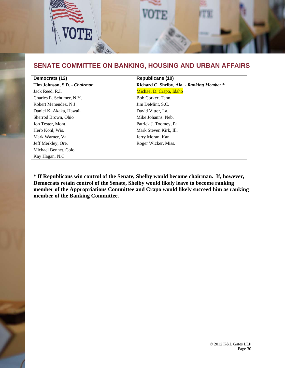

## **SENATE COMMITTEE ON BANKING, HOUSING AND URBAN AFFAIRS**

| Democrats (12)               | <b>Republicans (10)</b>                    |
|------------------------------|--------------------------------------------|
| Tim Johnson, S.D. - Chairman | Richard C. Shelby, Ala. - Ranking Member * |
| Jack Reed, R.I.              | Michael D. Crapo, Idaho                    |
| Charles E. Schumer, N.Y.     | Bob Corker, Tenn.                          |
| Robert Menendez, N.J.        | Jim DeMint, S.C.                           |
| Daniel K. Akaka, Hawaii      | David Vitter, La.                          |
| Sherrod Brown, Ohio          | Mike Johanns, Neb.                         |
| Jon Tester, Mont.            | Patrick J. Toomey, Pa.                     |
| Herb Kohl, Wis.              | Mark Steven Kirk, Ill.                     |
| Mark Warner, Va.             | Jerry Moran, Kan.                          |
| Jeff Merkley, Ore.           | Roger Wicker, Miss.                        |
| Michael Bennet, Colo.        |                                            |
| Kay Hagan, N.C.              |                                            |

**\* If Republicans win control of the Senate, Shelby would become chairman. If, however, Democrats retain control of the Senate, Shelby would likely leave to become ranking member of the Appropriations Committee and Crapo would likely succeed him as ranking member of the Banking Committee.**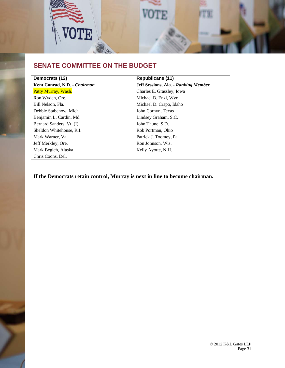

# **SENATE COMMITTEE ON THE BUDGET**

| Democrats (12)               | <b>Republicans (11)</b>              |
|------------------------------|--------------------------------------|
| Kent Conrad, N.D. - Chairman | Jeff Sessions, Ala. - Ranking Member |
| Patty Murray, Wash.          | Charles E. Grassley, Iowa            |
| Ron Wyden, Ore.              | Michael B. Enzi, Wyo.                |
| Bill Nelson, Fla.            | Michael D. Crapo, Idaho              |
| Debbie Stabenow, Mich.       | John Cornyn, Texas                   |
| Benjamin L. Cardin, Md.      | Lindsey Graham, S.C.                 |
| Bernard Sanders, Vt. (I)     | John Thune, S.D.                     |
| Sheldon Whitehouse, R.I.     | Rob Portman, Ohio                    |
| Mark Warner, Va.             | Patrick J. Toomey, Pa.               |
| Jeff Merkley, Ore.           | Ron Johnson, Wis.                    |
| Mark Begich, Alaska          | Kelly Ayotte, N.H.                   |
| Chris Coons, Del.            |                                      |

**If the Democrats retain control, Murray is next in line to become chairman.**

© 2012 K&L Gates LLP Page 31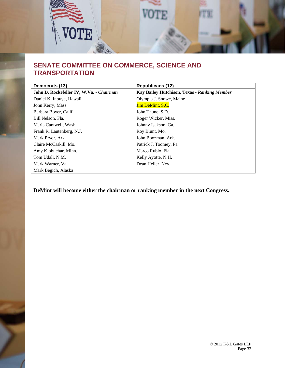

### **SENATE COMMITTEE ON COMMERCE, SCIENCE AND TRANSPORTATION**

| Democrats (13)                           | <b>Republicans (12)</b>                             |
|------------------------------------------|-----------------------------------------------------|
| John D. Rockefeller IV, W.Va. - Chairman | <b>Kay Bailey Hutchison, Texas - Ranking Member</b> |
| Daniel K. Inouye, Hawaii                 | Olympia J. Snowe, Maine                             |
| John Kerry, Mass.                        | Jim DeMint, S.C.                                    |
| Barbara Boxer, Calif.                    | John Thune, S.D.                                    |
| Bill Nelson, Fla.                        | Roger Wicker, Miss.                                 |
| Maria Cantwell, Wash.                    | Johnny Isakson, Ga.                                 |
| Frank R. Lautenberg, N.J.                | Roy Blunt, Mo.                                      |
| Mark Pryor, Ark.                         | John Boozman, Ark.                                  |
| Claire McCaskill, Mo.                    | Patrick J. Toomey, Pa.                              |
| Amy Klobuchar, Minn.                     | Marco Rubio, Fla.                                   |
| Tom Udall, N.M.                          | Kelly Ayotte, N.H.                                  |
| Mark Warner, Va.                         | Dean Heller, Nev.                                   |
| Mark Begich, Alaska                      |                                                     |

**DeMint will become either the chairman or ranking member in the next Congress.**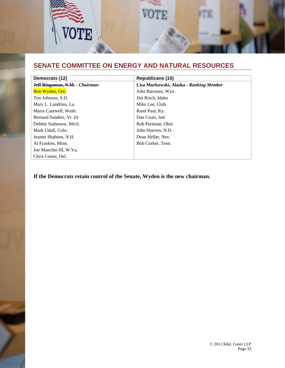

# **SENATE COMMITTEE ON ENERGY AND NATURAL RESOURCES**

| Democrats (12)                 | <b>Republicans (10)</b>                 |
|--------------------------------|-----------------------------------------|
| Jeff Bingaman, N.M. - Chairman | Lisa Murkowski, Alaska - Ranking Member |
| Ron Wyden, Ore.                | John Barrasso, Wyo.                     |
| Tim Johnson, S.D.              | Jim Risch, Idaho                        |
| Mary L. Landrieu, La.          | Mike Lee, Utah                          |
| Maria Cantwell, Wash.          | Rand Paul, Ky.                          |
| Bernard Sanders, Vt. (I)       | Dan Coats, Ind.                         |
| Debbie Stabenow, Mich.         | Rob Portman, Ohio                       |
| Mark Udall, Colo.              | John Hoeven, N.D.                       |
| Jeanne Shaheen, N.H.           | Dean Heller, Nev.                       |
| Al Franken, Minn.              | Bob Corker, Tenn.                       |
| Joe Manchin III, W.Va.         |                                         |
| Chris Coons, Del.              |                                         |

**If the Democrats retain control of the Senate, Wyden is the new chairman.**

© 2012 K&L Gates LLP Page 33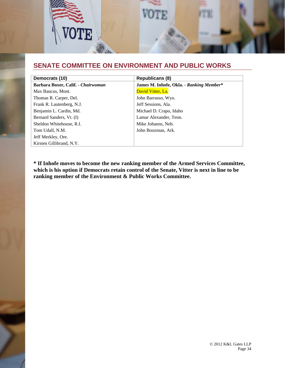

### **SENATE COMMITTEE ON ENVIRONMENT AND PUBLIC WORKS**

| Democrats (10)                     | <b>Republicans (8)</b>                   |
|------------------------------------|------------------------------------------|
| Barbara Boxer, Calif. - Chairwoman | James M. Inhofe, Okla. - Ranking Member* |
| Max Baucus, Mont.                  | David Vitter, La.                        |
| Thomas R. Carper, Del.             | John Barrasso, Wyo.                      |
| Frank R. Lautenberg, N.J.          | Jeff Sessions, Ala.                      |
| Benjamin L. Cardin, Md.            | Michael D. Crapo, Idaho                  |
| Bernard Sanders, Vt. (I)           | Lamar Alexander, Tenn.                   |
| Sheldon Whitehouse, R.I.           | Mike Johanns, Neb.                       |
| Tom Udall, N.M.                    | John Boozman, Ark.                       |
| Jeff Merkley, Ore.                 |                                          |
| Kirsten Gillibrand, N.Y.           |                                          |

**\* If Inhofe moves to become the new ranking member of the Armed Services Committee, which is his option if Democrats retain control of the Senate, Vitter is next in line to be ranking member of the Environment & Public Works Committee.**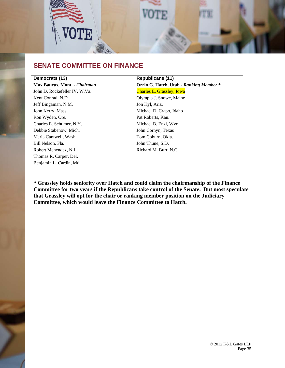

### **SENATE COMMITTEE ON FINANCE**

| Democrats (13)                | <b>Republicans (11)</b>                 |
|-------------------------------|-----------------------------------------|
| Max Baucus, Mont. - Chairman  | Orrin G. Hatch, Utah - Ranking Member * |
| John D. Rockefeller IV, W.Va. | <b>Charles E. Grassley, Iowa</b>        |
| Kent Conrad, N.D.             | Olympia J. Snowe, Maine                 |
| Jeff Bingaman, N.M.           | Jon Kyl, Ariz.                          |
| John Kerry, Mass.             | Michael D. Crapo, Idaho                 |
| Ron Wyden, Ore.               | Pat Roberts, Kan.                       |
| Charles E. Schumer, N.Y.      | Michael B. Enzi, Wyo.                   |
| Debbie Stabenow, Mich.        | John Cornyn, Texas                      |
| Maria Cantwell, Wash.         | Tom Coburn, Okla.                       |
| Bill Nelson, Fla.             | John Thune, S.D.                        |
| Robert Menendez, N.J.         | Richard M. Burr, N.C.                   |
| Thomas R. Carper, Del.        |                                         |
| Benjamin L. Cardin, Md.       |                                         |

**\* Grassley holds seniority over Hatch and could claim the chairmanship of the Finance Committee for two years if the Republicans take control of the Senate. But most speculate that Grassley will opt for the chair or ranking member position on the Judiciary Committee, which would leave the Finance Committee to Hatch.**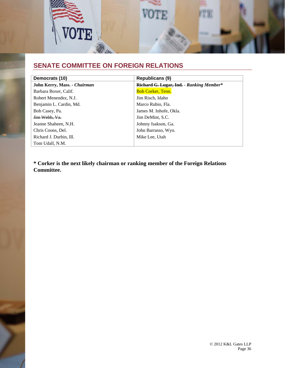

# **SENATE COMMITTEE ON FOREIGN RELATIONS**

| Democrats (10)                      | <b>Republicans (9)</b>                   |
|-------------------------------------|------------------------------------------|
| <b>John Kerry, Mass. - Chairman</b> | Richard G. Lugar, Ind. - Ranking Member* |
| Barbara Boxer, Calif.               | <b>Bob Corker, Tenn.</b>                 |
| Robert Menendez, N.J.               | Jim Risch, Idaho                         |
| Benjamin L. Cardin, Md.             | Marco Rubio, Fla.                        |
| Bob Casey, Pa.                      | James M. Inhofe, Okla.                   |
| Jim Webb, Va.                       | Jim DeMint, S.C.                         |
| Jeanne Shaheen, N.H.                | Johnny Isakson, Ga.                      |
| Chris Coons, Del.                   | John Barrasso, Wyo.                      |
| Richard J. Durbin, Ill.             | Mike Lee. Utah                           |
| Tom Udall, N.M.                     |                                          |

**\* Corker is the next likely chairman or ranking member of the Foreign Relations Committee.**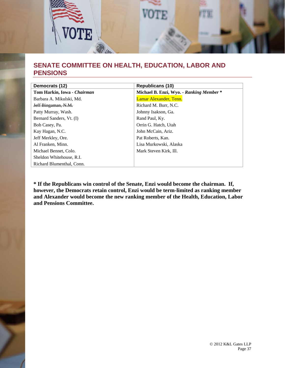

## **SENATE COMMITTEE ON HEALTH, EDUCATION, LABOR AND PENSIONS**

| Democrats (12)              | <b>Republicans (10)</b>                  |
|-----------------------------|------------------------------------------|
| Tom Harkin, Iowa - Chairman | Michael B. Enzi, Wyo. - Ranking Member * |
| Barbara A. Mikulski, Md.    | Lamar Alexander, Tenn.                   |
| Jeff Bingaman, N.M.         | Richard M. Burr, N.C.                    |
| Patty Murray, Wash.         | Johnny Isakson, Ga.                      |
| Bernard Sanders, Vt. (I)    | Rand Paul, Ky.                           |
| Bob Casey, Pa.              | Orrin G. Hatch, Utah                     |
| Kay Hagan, N.C.             | John McCain, Ariz.                       |
| Jeff Merkley, Ore.          | Pat Roberts, Kan.                        |
| Al Franken, Minn.           | Lisa Murkowski, Alaska                   |
| Michael Bennet, Colo.       | Mark Steven Kirk, Ill.                   |
| Sheldon Whitehouse, R.I.    |                                          |
| Richard Blumenthal, Conn.   |                                          |

**\* If the Republicans win control of the Senate, Enzi would become the chairman. If, however, the Democrats retain control, Enzi would be term-limited as ranking member and Alexander would become the new ranking member of the Health, Education, Labor and Pensions Committee.**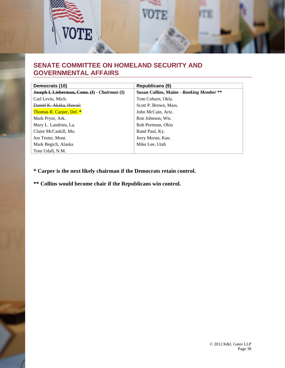

### **SENATE COMMITTEE ON HOMELAND SECURITY AND GOVERNMENTAL AFFAIRS**

| Democrats (10)                                | <b>Republicans (9)</b>                   |
|-----------------------------------------------|------------------------------------------|
| Joseph I. Lieberman, Conn. (I) - Chairman (I) | Susan Collins, Maine - Ranking Member ** |
| Carl Levin, Mich.                             | Tom Coburn, Okla.                        |
| Daniel K. Akaka, Hawaii                       | Scott P. Brown, Mass.                    |
| <b>Thomas R. Carper, Del. *</b>               | John McCain, Ariz.                       |
| Mark Pryor, Ark.                              | Ron Johnson, Wis.                        |
| Mary L. Landrieu, La.                         | Rob Portman, Ohio                        |
| Claire McCaskill, Mo.                         | Rand Paul, Ky.                           |
| Jon Tester, Mont.                             | Jerry Moran, Kan.                        |
| Mark Begich, Alaska                           | Mike Lee, Utah                           |
| Tom Udall, N.M.                               |                                          |

**\* Carper is the next likely chairman if the Democrats retain control.** 

**\*\* Collins would become chair if the Republicans win control.**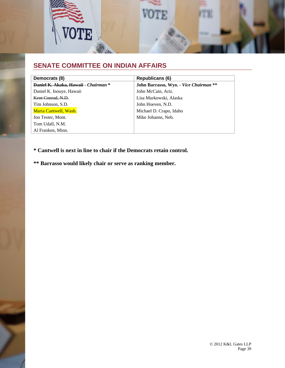

## **SENATE COMMITTEE ON INDIAN AFFAIRS**

| Democrats (8)                        | <b>Republicans (6)</b>                 |
|--------------------------------------|----------------------------------------|
| Daniel K. Akaka, Hawaii - Chairman * | John Barrasso, Wyo. - Vice Chairman ** |
| Daniel K. Inouye, Hawaii             | John McCain, Ariz.                     |
| Kent Conrad, N.D.                    | Lisa Murkowski, Alaska                 |
| Tim Johnson, S.D.                    | John Hoeven, N.D.                      |
| Maria Cantwell, Wash.                | Michael D. Crapo, Idaho                |
| Jon Tester, Mont.                    | Mike Johanns, Neb.                     |
| Tom Udall, N.M.                      |                                        |
| Al Franken, Minn.                    |                                        |

### **\* Cantwell is next in line to chair if the Democrats retain control.**

**\*\* Barrasso would likely chair or serve as ranking member.**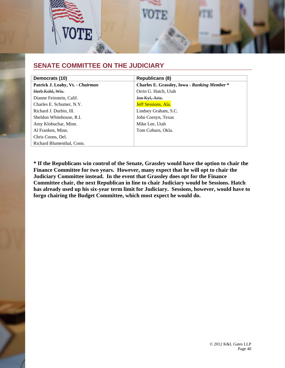

### **SENATE COMMITTEE ON THE JUDICIARY**

| Democrats (10)                   | <b>Republicans (8)</b>                              |
|----------------------------------|-----------------------------------------------------|
| Patrick J. Leahy, Vt. - Chairman | <b>Charles E. Grassley, Iowa - Ranking Member *</b> |
| Herb Kohl, Wis.                  | Orrin G. Hatch, Utah                                |
| Dianne Feinstein, Calif.         | Jon Kyl, Ariz.                                      |
| Charles E. Schumer, N.Y.         | <b>Jeff Sessions, Ala.</b>                          |
| Richard J. Durbin, Ill.          | Lindsey Graham, S.C.                                |
| Sheldon Whitehouse, R.I.         | John Cornyn, Texas                                  |
| Amy Klobuchar, Minn.             | Mike Lee, Utah                                      |
| Al Franken, Minn.                | Tom Coburn, Okla.                                   |
| Chris Coons, Del.                |                                                     |
| Richard Blumenthal, Conn.        |                                                     |

**\* If the Republicans win control of the Senate, Grassley would have the option to chair the Finance Committee for two years. However, many expect that he will opt to chair the Judiciary Committee instead. In the event that Grassley does opt for the Finance Committee chair, the next Republican in line to chair Judiciary would be Sessions. Hatch has already used up his six-year term limit for Judiciary. Sessions, however, would have to forgo chairing the Budget Committee, which most expect he would do.**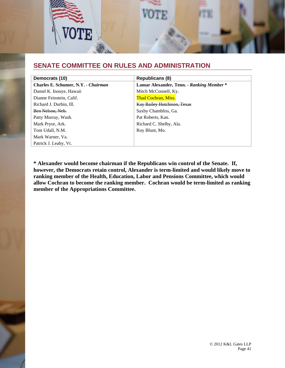

### **SENATE COMMITTEE ON RULES AND ADMINISTRATION**

| Democrats (10)                      | <b>Republicans (8)</b>                   |
|-------------------------------------|------------------------------------------|
| Charles E. Schumer, N.Y. - Chairman | Lamar Alexander, Tenn. - Ranking Member* |
| Daniel K. Inouye, Hawaii            | Mitch McConnell, Ky.                     |
| Dianne Feinstein, Calif.            | <b>Thad Cochran, Miss.</b>               |
| Richard J. Durbin, Ill.             | <b>Kay Bailey Hutchison, Texas</b>       |
| Ben Nelson, Neb.                    | Saxby Chambliss, Ga.                     |
| Patty Murray, Wash.                 | Pat Roberts, Kan.                        |
| Mark Pryor, Ark.                    | Richard C. Shelby, Ala.                  |
| Tom Udall, N.M.                     | Roy Blunt, Mo.                           |
| Mark Warner, Va.                    |                                          |
| Patrick J. Leahy, Vt.               |                                          |

**\* Alexander would become chairman if the Republicans win control of the Senate. If, however, the Democrats retain control, Alexander is term-limited and would likely move to ranking member of the Health, Education, Labor and Pensions Committee, which would allow Cochran to become the ranking member. Cochran would be term-limited as ranking member of the Appropriations Committee.**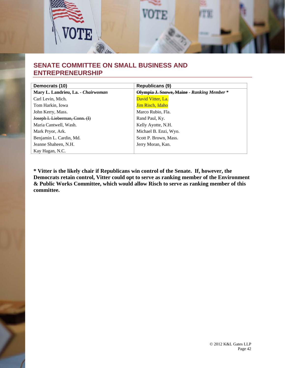

### **SENATE COMMITTEE ON SMALL BUSINESS AND ENTREPRENEURSHIP**

| Democrats (10)                     | <b>Republicans (9)</b>                     |
|------------------------------------|--------------------------------------------|
| Mary L. Landrieu, La. - Chairwoman | Olympia J. Snowe, Maine - Ranking Member * |
| Carl Levin, Mich.                  | David Vitter, La.                          |
| Tom Harkin, Iowa                   | <b>Jim Risch, Idaho</b>                    |
| John Kerry, Mass.                  | Marco Rubio, Fla.                          |
| Joseph I. Lieberman, Conn. (I)     | Rand Paul, Ky.                             |
| Maria Cantwell, Wash.              | Kelly Ayotte, N.H.                         |
| Mark Pryor, Ark.                   | Michael B. Enzi, Wyo.                      |
| Benjamin L. Cardin, Md.            | Scott P. Brown, Mass.                      |
| Jeanne Shaheen, N.H.               | Jerry Moran, Kan.                          |
| Kay Hagan, N.C.                    |                                            |

**\* Vitter is the likely chair if Republicans win control of the Senate. If, however, the Democrats retain control, Vitter could opt to serve as ranking member of the Environment & Public Works Committee, which would allow Risch to serve as ranking member of this committee.**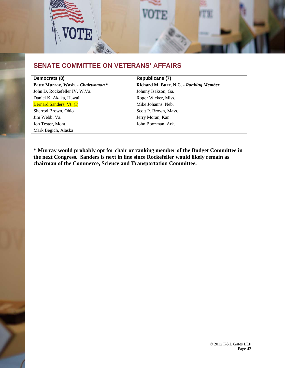

### **SENATE COMMITTEE ON VETERANS' AFFAIRS**

| Democrats (8)                      | <b>Republicans (7)</b>                 |
|------------------------------------|----------------------------------------|
| Patty Murray, Wash. - Chairwoman * | Richard M. Burr, N.C. - Ranking Member |
| John D. Rockefeller IV, W.Va.      | Johnny Isakson, Ga.                    |
| Daniel K. Akaka, Hawaii            | Roger Wicker, Miss.                    |
| <b>Bernard Sanders, Vt. (I)</b>    | Mike Johanns, Neb.                     |
| Sherrod Brown, Ohio                | Scott P. Brown, Mass.                  |
| Jim Webb, Va.                      | Jerry Moran, Kan.                      |
| Jon Tester, Mont.                  | John Boozman, Ark.                     |
| Mark Begich, Alaska                |                                        |

**\* Murray would probably opt for chair or ranking member of the Budget Committee in the next Congress. Sanders is next in line since Rockefeller would likely remain as chairman of the Commerce, Science and Transportation Committee.**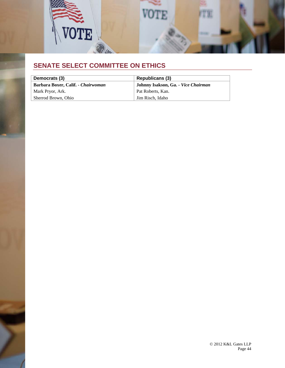

# **SENATE SELECT COMMITTEE ON ETHICS**

| Democrats (3)                      | Republicans (3)                     |
|------------------------------------|-------------------------------------|
| Barbara Boxer, Calif. - Chairwoman | Johnny Isakson, Ga. - Vice Chairman |
| Mark Pryor, Ark.                   | Pat Roberts, Kan.                   |
| Sherrod Brown, Ohio                | Jim Risch, Idaho                    |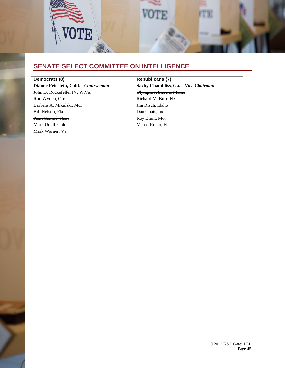

# **SENATE SELECT COMMITTEE ON INTELLIGENCE**

| Democrats (8)                         | <b>Republicans (7)</b>               |
|---------------------------------------|--------------------------------------|
| Dianne Feinstein, Calif. - Chairwoman | Saxby Chambliss, Ga. - Vice Chairman |
| John D. Rockefeller IV, W.Va.         | Olympia J. Snowe, Maine              |
| Ron Wyden, Ore.                       | Richard M. Burr, N.C.                |
| Barbara A. Mikulski, Md.              | Jim Risch, Idaho                     |
| Bill Nelson, Fla.                     | Dan Coats, Ind.                      |
| Kent Conrad, N.D.                     | Roy Blunt, Mo.                       |
| Mark Udall, Colo.                     | Marco Rubio, Fla.                    |
| Mark Warner, Va.                      |                                      |